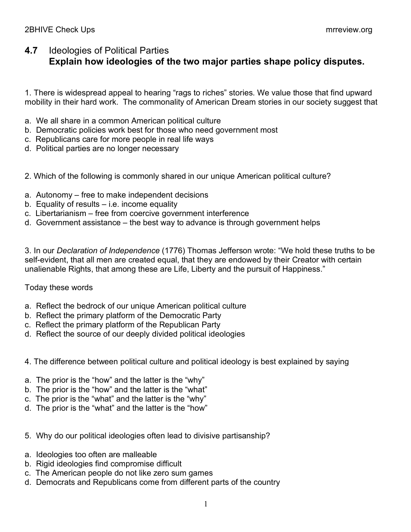## **4.7** Ideologies of Political Parties **Explain how ideologies of the two major parties shape policy disputes.**

1. There is widespread appeal to hearing "rags to riches" stories. We value those that find upward mobility in their hard work. The commonality of American Dream stories in our society suggest that

- a. We all share in a common American political culture
- b. Democratic policies work best for those who need government most
- c. Republicans care for more people in real life ways
- d. Political parties are no longer necessary
- 2. Which of the following is commonly shared in our unique American political culture?
- a. Autonomy free to make independent decisions
- b. Equality of results  $-$  i.e. income equality
- c. Libertarianism free from coercive government interference
- d. Government assistance the best way to advance is through government helps

3. In our *Declaration of Independence* (1776) Thomas Jefferson wrote: "We hold these truths to be self-evident, that all men are created equal, that they are endowed by their Creator with certain unalienable Rights, that among these are Life, Liberty and the pursuit of Happiness."

## Today these words

- a. Reflect the bedrock of our unique American political culture
- b. Reflect the primary platform of the Democratic Party
- c. Reflect the primary platform of the Republican Party
- d. Reflect the source of our deeply divided political ideologies
- 4. The difference between political culture and political ideology is best explained by saying
- a. The prior is the "how" and the latter is the "why"
- b. The prior is the "how" and the latter is the "what"
- c. The prior is the "what" and the latter is the "why"
- d. The prior is the "what" and the latter is the "how"
- 5. Why do our political ideologies often lead to divisive partisanship?
- a. Ideologies too often are malleable
- b. Rigid ideologies find compromise difficult
- c. The American people do not like zero sum games
- d. Democrats and Republicans come from different parts of the country